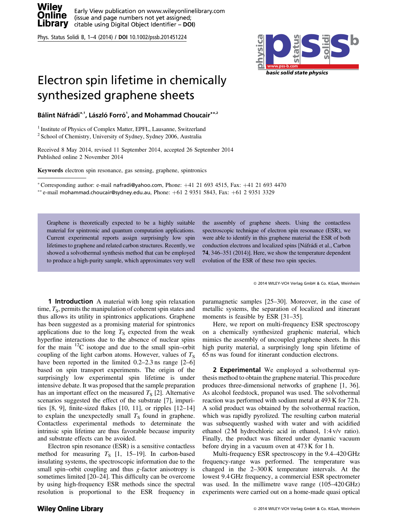



## Electron spin lifetime in chemically synthesized graphene sheets

Bálint Náfrádi\*<sup>,</sup>', László Forró<sup>1</sup>, and Mohammad Choucair\*\*,<sup>2</sup>

<sup>1</sup> Institute of Physics of Complex Matter, EPFL, Lausanne, Switzerland

 $2$  School of Chemistry, University of Sydney, Sydney 2006, Australia

Received 8 May 2014, revised 11 September 2014, accepted 26 September 2014 Published online 2 November 2014

Keywords electron spin resonance, gas sensing, graphene, spintronics

\*Corresponding author: e-mail nafradi@yahoo.com, Phone:  $+41$  21 693 4515, Fax:  $+41$  21 693 4470  $*$  $*$ e-mail mohammad.choucair@sydney.edu.au, Phone:  $+61$  2 9351 5843, Fax:  $+61$  2 9351 3329

Graphene is theoretically expected to be a highly suitable material for spintronic and quantum computation applications. Current experimental reports assign surprisingly low spin lifetimes to graphene and related carbon structures. Recently, we showed a solvothermal synthesis method that can be employed to produce a high-purity sample, which approximates very well

the assembly of graphene sheets. Using the contactless spectroscopic technique of electron spin resonance (ESR), we were able to identify in this graphene material the ESR of both conduction electrons and localized spins [Náfrádi et al., Carbon 74, 346–351 (2014)]. Here, we show the temperature dependent evolution of the ESR of these two spin species.

2014 WILEY-VCH Verlag GmbH & Co. KGaA, Weinheim

**1 Introduction** A material with long spin relaxation time,  $T<sub>S</sub>$ , permits the manipulation of coherent spin states and thus allows its utility in spintronics applications. Graphene has been suggested as a promising material for spintronics applications due to the long  $T<sub>S</sub>$  expected from the weak hyperfine interactions due to the absence of nuclear spins for the main  $^{12}$ C isotope and due to the small spin–orbit coupling of the light carbon atoms. However, values of  $T_s$ have been reported in the limited 0.2–2.3 ns range [2–6] based on spin transport experiments. The origin of the surprisingly low experimental spin lifetime is under intensive debate. It was proposed that the sample preparation has an important effect on the measured  $T<sub>S</sub>$  [2]. Alternative scenarios suggested the effect of the substrate [7], impurities [8, 9], finite-sized flakes [10, 11], or ripples [12–14] to explain the unexpectedly small  $T<sub>S</sub>$  found in graphene. Contactless experimental methods to determinate the intrinsic spin lifetime are thus favorable because impurity and substrate effects can be avoided.

Electron spin resonance (ESR) is a sensitive contactless method for measuring  $T<sub>S</sub>$  [1, 15–19]. In carbon-based insulating systems, the spectroscopic information due to the small spin–orbit coupling and thus g-factor anisotropy is sometimes limited [20–24]. This difficulty can be overcome by using high-frequency ESR methods since the spectral resolution is proportional to the ESR frequency in

**Wiley Online Library** 

paramagnetic samples [25–30]. Moreover, in the case of metallic systems, the separation of localized and itinerant moments is feasible by ESR [31–35].

Here, we report on multi-frequency ESR spectroscopy on a chemically synthesized graphenic material, which mimics the assembly of uncoupled graphene sheets. In this high purity material, a surprisingly long spin lifetime of 65 ns was found for itinerant conduction electrons.

2 Experimental We employed a solvothermal synthesis method to obtain the graphene material. This procedure produces three-dimensional networks of graphene [1, 36]. As alcohol feedstock, propanol was used. The solvothermal reaction was performed with sodium metal at 493 K for 72 h. A solid product was obtained by the solvothermal reaction, which was rapidly pyrolized. The resulting carbon material was subsequently washed with water and with acidified ethanol (2 M hydrochloric acid in ethanol, 1:4 v/v ratio). Finally, the product was filtered under dynamic vacuum before drying in a vacuum oven at 473 K for 1 h.

Multi-frequency ESR spectroscopy in the 9.4–420 GHz frequency-range was performed. The temperature was changed in the 2–300 K temperature intervals. At the lowest 9.4 GHz frequency, a commercial ESR spectrometer was used. In the millimetre wave range (105–420 GHz) experiments were carried out on a home-made quasi optical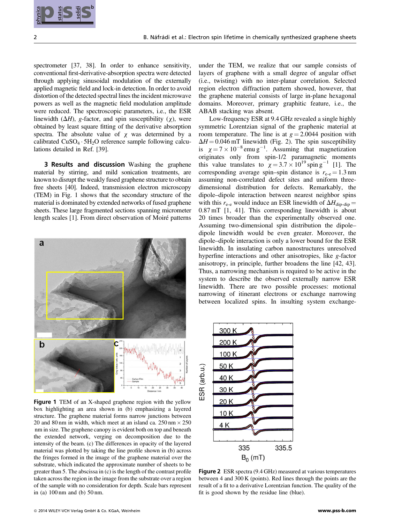

spectrometer [37, 38]. In order to enhance sensitivity, conventional first-derivative-absorption spectra were detected through applying sinusoidal modulation of the externally applied magnetic field and lock-in detection. In order to avoid distortion of the detected spectral lines the incident microwave powers as well as the magnetic field modulation amplitude were reduced. The spectroscopic parameters, i.e., the ESR linewidth  $(\Delta H)$ , g-factor, and spin susceptibility (x), were obtained by least square fitting of the derivative absorption spectra. The absolute value of  $x$  was determined by a calibrated  $CuSO_4 \cdot 5H_2O$  reference sample following calculations detailed in Ref. [39].

**3 Results and discussion** Washing the graphene material by stirring, and mild sonication treatments, are known to disrupt the weakly fused graphene structure to obtain free sheets [40]. Indeed, transmission electron microscopy (TEM) in Fig. 1 shows that the secondary structure of the material is dominated by extended networks of fused graphene sheets. These large fragmented sections spanning micrometer length scales [1]. From direct observation of Moiré patterns



Figure 1 TEM of an X-shaped graphene region with the yellow box highlighting an area shown in (b) emphasizing a layered structure. The graphene material forms narrow junctions between 20 and 80 nm in width, which meet at an island ca.  $250 \text{ nm} \times 250$ nm in size. The graphene canopy is evident both on top and beneath the extended network, verging on decomposition due to the intensity of the beam. (c) The differences in opacity of the layered material was plotted by taking the line profile shown in (b) across the fringes formed in the image of the graphene material over the substrate, which indicated the approximate number of sheets to be greater than 5. The abscissa in (c) is the length of the contrast profile taken across the region in the image from the substrate over a region of the sample with no consideration for depth. Scale bars represent in (a) 100 nm and (b) 50 nm.

under the TEM, we realize that our sample consists of layers of graphene with a small degree of angular offset (i.e., twisting) with no inter-planar correlation. Selected region electron diffraction pattern showed, however, that the graphene material consists of large in-plane hexagonal domains. Moreover, primary graphitic feature, i.e., the ABAB stacking was absent.

Low-frequency ESR at 9.4 GHz revealed a single highly symmetric Lorentzian signal of the graphenic material at room temperature. The line is at  $g = 2.0044$  position with  $\Delta H = 0.046$  mT linewidth (Fig. 2). The spin susceptibility  $\Delta H = 0.046$  mT linewidth (Fig. 2). The spin susceptibility<br>is  $\chi = 7 \times 10^{-8}$  emu g<sup>-1</sup>. Assuming that magnetization originates only from spin-1/2 paramagnetic moments this value translates to  $\chi = 3.7 \times 10^{19}$  spin g<sup>-1</sup> [1]. The corresponding average spin–spin distance is  $r_{\text{e-e}} = 1.3 \text{ nm}$ assuming non-correlated defect sites and uniform threedimensional distribution for defects. Remarkably, the dipole–dipole interaction between nearest neighbor spins with this  $r_{\text{e-e}}$  would induce an ESR linewidth of  $\Delta H_{\text{dip-dip}} =$ 0.87 mT [1, 41]. This corresponding linewidth is about 20 times broader than the experimentally observed one. Assuming two-dimensional spin distribution the dipole– dipole linewidth would be even greater. Moreover, the dipole–dipole interaction is only a lower bound for the ESR linewidth. In insulating carbon nanostructures unresolved hyperfine interactions and other anisotropies, like g-factor anisotropy, in principle, further broadens the line [42, 43]. Thus, a narrowing mechanism is required to be active in the system to describe the observed externally narrow ESR linewidth. There are two possible processes: motional narrowing of itinerant electrons or exchange narrowing between localized spins. In insulting system exchange-**2015 SS**<br>
2014 SS E Collection of the material control interior is computed and one of the material control interior is the material control interior is the material control interior is the material control interior is t



Figure 2 ESR spectra (9.4 GHz) measured at various temperatures between 4 and 300 K (points). Red lines through the points are the result of a fit to a derivative Lorentzian function. The quality of the fit is good shown by the residue line (blue).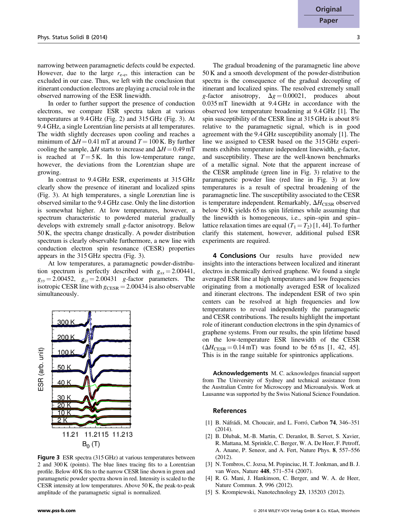narrowing between paramagnetic defects could be expected. However, due to the large  $r_{e-e}$ , this interaction can be excluded in our case. Thus, we left with the conclusion that itinerant conduction electrons are playing a crucial role in the observed narrowing of the ESR linewidth.

In order to further support the presence of conduction electrons, we compare ESR spectra taken at various temperatures at 9.4 GHz (Fig. 2) and 315 GHz (Fig. 3). At 9.4 GHz, a single Lorentzian line persists at all temperatures. The width slightly decreases upon cooling and reaches a minimum of  $\Delta H = 0.41$  mT at around  $T = 100$  K. By further cooling the sample,  $\Delta H$  starts to increase and  $\Delta H = 0.49$  mT is reached at  $T = 5$  K. In this low-temperature range, however, the deviations from the Lorentzian shape are growing.

In contrast to 9.4 GHz ESR, experiments at 315 GHz clearly show the presence of itinerant and localized spins (Fig. 3). At high temperatures, a single Lorenztian line is observed similar to the 9.4 GHz case. Only the line distortion is somewhat higher. At low temperatures, however, a spectrum characteristic to powdered material gradually develops with extremely small g-factor anisotropy. Below 50 K, the spectra change drastically. A powder distribution spectrum is clearly observable furthermore, a new line with conduction electron spin resonance (CESR) properties appears in the 315 GHz spectra (Fig. 3).

At low temperatures, a paramagnetic powder-distribution spectrum is perfectly described with  $g_{xx} = 2.00441$ ,  $g_{yy} = 2.00452$ ,  $g_{zz} = 2.00431$  g-factor parameters. The isotropic CESR line with  $g_{CESR} = 2.00434$  is also observable simultaneously.



Figure 3 ESR spectra (315 GHz) at various temperatures between 2 and 300 K (points). The blue lines tracing fits to a Lorentzian profile. Below 40 K fits to the narrow CESR line shown in green and paramagnetic powder spectra shown in red. Intensity is scaled to the CESR intensity at low temperatures. Above 50 K, the peak-to-peak amplitude of the paramagnetic signal is normalized.

The gradual broadening of the paramagnetic line above 50 K and a smooth development of the powder-distribution spectra is the consequence of the gradual decoupling of itinerant and localized spins. The resolved extremely small g-factor anisotropy,  $\Delta g = 0.00021$ , produces about 0.035 mT linewidth at 9.4 GHz in accordance with the observed low temperature broadening at 9.4 GHz [1]. The spin susceptibility of the CESR line at 315 GHz is about 8% relative to the paramagnetic signal, which is in good agreement with the 9.4 GHz susceptibility anomaly [1]. The line we assigned to CESR based on the 315 GHz experiments exhibits temperature independent linewidth, g-factor, and susceptibility. These are the well-known benchmarks of a metallic signal. Note that the apparent increase of the CESR amplitude (green line in Fig. 3) relative to the paramagnetic powder line (red line in Fig. 3) at low temperatures is a result of spectral broadening of the paramagnetic line. The susceptibility associated to the CESR is temperature independent. Remarkably,  $\Delta H_{\text{CESR}}$  observed below 50 K yields 65 ns spin lifetimes while assuming that the linewidth is homogeneous, i.e., spin–spin and spin– lattice relaxation times are equal  $(T_1 = T_2)$  [1, 44]. To further clarify this statement, however, additional pulsed ESR experiments are required.

4 Conclusions Our results have provided new insights into the interactions between localized and itinerant electros in chemically derived graphene. We found a single averaged ESR line at high temperatures and low frequencies originating from a motionally averaged ESR of localized and itinerant electrons. The independent ESR of two spin centers can be resolved at high frequencies and low temperatures to reveal independently the paramagnetic and CESR contributions. The results highlight the important role of itinerant conduction electrons in the spin dynamics of graphene systems. From our results, the spin lifetime based on the low-temperature ESR linewidth of the CESR  $(\Delta H_{\text{CESR}} = 0.14 \text{ mT})$  was found to be 65 ns [1, 42, 45]. This is in the range suitable for spintronics applications.

Acknowledgements M. C. acknowledges financial support from The University of Sydney and technical assistance from the Australian Centre for Microscopy and Microanalysis. Work at Lausanne was supported by the Swiss National Science Foundation.

## References

- [1] B. Náfrádi, M. Choucair, and L. Forró, Carbon 74, 346–351 (2014).
- [2] B. Dlubak, M.-B. Martin, C. Deranlot, B. Servet, S. Xavier, R. Mattana, M. Sprinkle, C. Berger, W. A. De Heer, F. Petroff, A. Anane, P. Seneor, and A. Fert, Nature Phys. 8, 557–556 (2012).
- [3] N. Tombros, C. Jozsa, M. Popinciuc, H. T. Jonkman, and B. J. van Wees, Nature 448, 571–574 (2007).
- [4] R. G. Mani, J. Hankinson, C. Berger, and W. A. de Heer, Nature Commun. 3, 996 (2012).
- [5] S. Krompiewski, Nanotechnology 23, 135203 (2012).